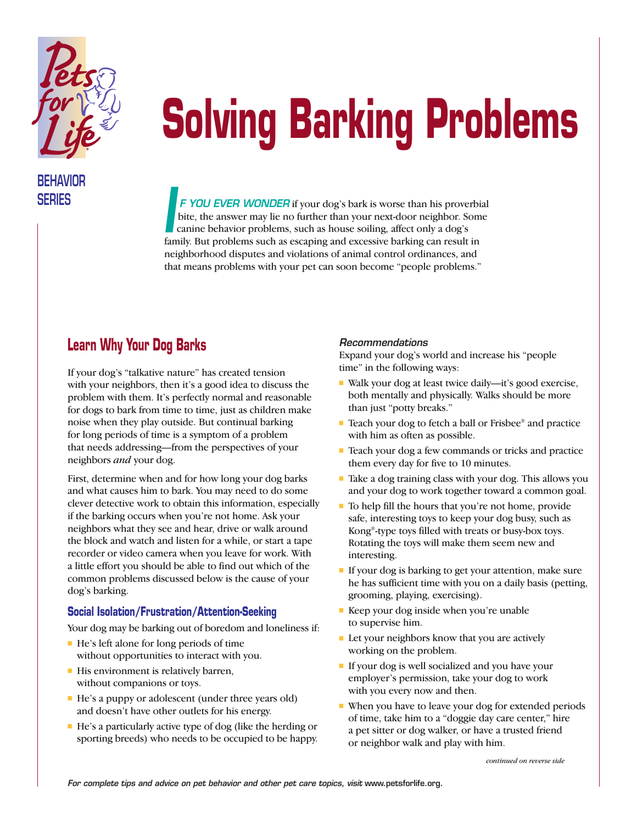

# **Solving Barking Problems**

## **BEHAVIOR**

**SERIES F YOU EVER WONDER** if your dog's bark is worse than his proverbial bite, the answer may lie no further than your next-door neighbor. Some canine behavior problems, such as house soiling, affect only a dog's Family. But problems such as house soiling, affect only a dog's family. But problems such as escaping and excessive barking can result in neighborhood disputes and violations of animal control ordinances, and that means problems with your pet can soon become "people problems."

### **Learn Why Your Dog Barks**

If your dog's "talkative nature" has created tension with your neighbors, then it's a good idea to discuss the problem with them. It's perfectly normal and reasonable for dogs to bark from time to time, just as children make noise when they play outside. But continual barking for long periods of time is a symptom of a problem that needs addressing—from the perspectives of your neighbors *and* your dog.

First, determine when and for how long your dog barks and what causes him to bark. You may need to do some clever detective work to obtain this information, especially if the barking occurs when you're not home. Ask your neighbors what they see and hear, drive or walk around the block and watch and listen for a while, or start a tape recorder or video camera when you leave for work. With a little effort you should be able to find out which of the common problems discussed below is the cause of your dog's barking.

#### **Social Isolation/Frustration/Attention-Seeking**

Your dog may be barking out of boredom and loneliness if:

- He's left alone for long periods of time without opportunities to interact with you.
- His environment is relatively barren, without companions or toys.
- He's a puppy or adolescent (under three years old) and doesn't have other outlets for his energy.
- He's a particularly active type of dog (like the herding or sporting breeds) who needs to be occupied to be happy.

#### *Recommendations*

Expand your dog's world and increase his "people time" in the following ways:

- Walk your dog at least twice daily—it's good exercise, both mentally and physically. Walks should be more than just "potty breaks."
- Teach your dog to fetch a ball or Frisbee® and practice with him as often as possible.
- Teach your dog a few commands or tricks and practice them every day for five to 10 minutes.
- Take a dog training class with your dog. This allows you and your dog to work together toward a common goal.
- To help fill the hours that you're not home, provide safe, interesting toys to keep your dog busy, such as Kong®-type toys filled with treats or busy-box toys. Rotating the toys will make them seem new and interesting.
- If your dog is barking to get your attention, make sure he has sufficient time with you on a daily basis (petting, grooming, playing, exercising).
- Keep your dog inside when you're unable to supervise him.
- Let your neighbors know that you are actively working on the problem.
- If your dog is well socialized and you have your employer's permission, take your dog to work with you every now and then.
- When you have to leave your dog for extended periods of time, take him to a "doggie day care center," hire a pet sitter or dog walker, or have a trusted friend or neighbor walk and play with him.

*continued on reverse side*